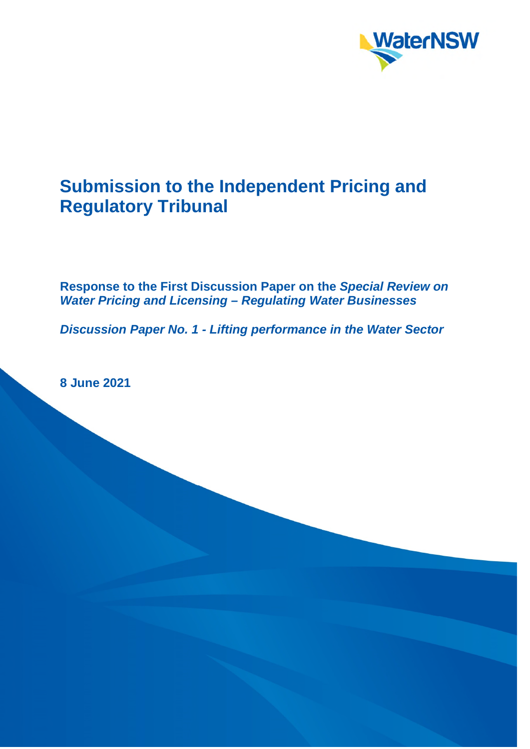

# **Submission to the Independent Pricing and Regulatory Tribunal**

**Response to the First Discussion Paper on the** *Special Review on Water Pricing and Licensing – Regulating Water Businesses* 

*Discussion Paper No. 1 - Lifting performance in the Water Sector*

**8 June 2021**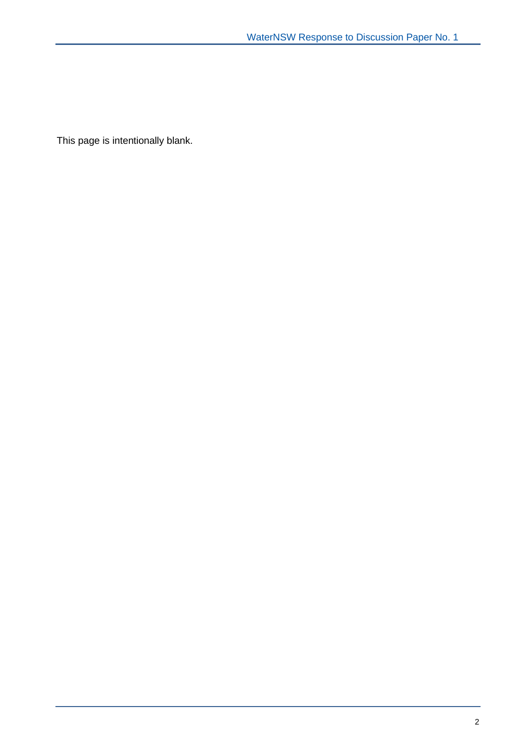This page is intentionally blank.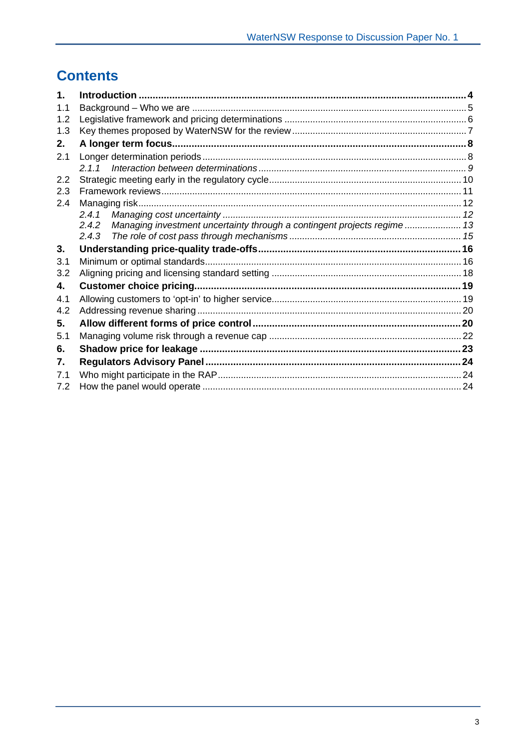## **Contents**

| 1.  |                                                                                   |  |  |  |
|-----|-----------------------------------------------------------------------------------|--|--|--|
| 1.1 |                                                                                   |  |  |  |
| 1.2 |                                                                                   |  |  |  |
| 1.3 |                                                                                   |  |  |  |
| 2.  |                                                                                   |  |  |  |
| 2.1 |                                                                                   |  |  |  |
|     | 2.1.1                                                                             |  |  |  |
| 2.2 |                                                                                   |  |  |  |
| 2.3 |                                                                                   |  |  |  |
| 2.4 |                                                                                   |  |  |  |
|     | 2.4.1                                                                             |  |  |  |
|     | Managing investment uncertainty through a contingent projects regime  13<br>2.4.2 |  |  |  |
|     | 2.4.3                                                                             |  |  |  |
| 3.  |                                                                                   |  |  |  |
| 3.1 |                                                                                   |  |  |  |
| 3.2 |                                                                                   |  |  |  |
| 4.  |                                                                                   |  |  |  |
| 4.1 |                                                                                   |  |  |  |
| 4.2 |                                                                                   |  |  |  |
| 5.  |                                                                                   |  |  |  |
| 5.1 |                                                                                   |  |  |  |
| 6.  |                                                                                   |  |  |  |
| 7.  |                                                                                   |  |  |  |
| 7.1 |                                                                                   |  |  |  |
| 7.2 |                                                                                   |  |  |  |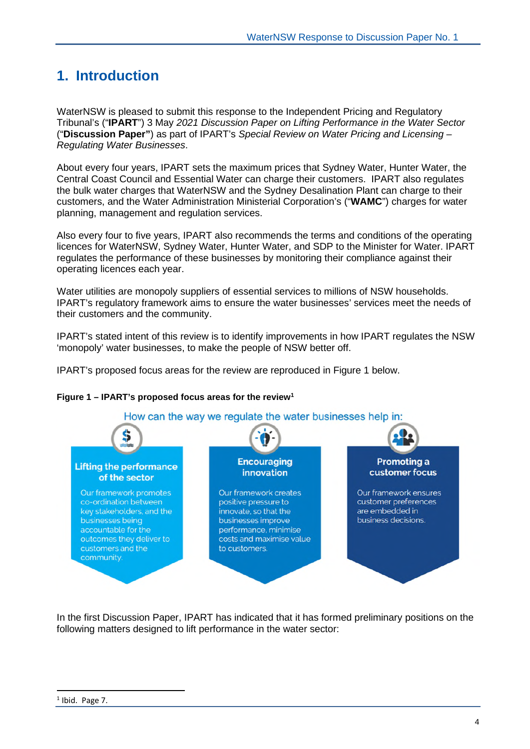## **1. Introduction**

WaterNSW is pleased to submit this response to the Independent Pricing and Regulatory Tribunal's ("**IPART**") 3 May *2021 Discussion Paper on Lifting Performance in the Water Sector*  ("**Discussion Paper"**) as part of IPART's *Special Review on Water Pricing and Licensing – Regulating Water Businesses*.

About every four years, IPART sets the maximum prices that Sydney Water, Hunter Water, the Central Coast Council and Essential Water can charge their customers. IPART also regulates the bulk water charges that WaterNSW and the Sydney Desalination Plant can charge to their customers, and the Water Administration Ministerial Corporation's ("**WAMC**") charges for water planning, management and regulation services.

Also every four to five years, IPART also recommends the terms and conditions of the operating licences for WaterNSW, Sydney Water, Hunter Water, and SDP to the Minister for Water. IPART regulates the performance of these businesses by monitoring their compliance against their operating licences each year.

Water utilities are monopoly suppliers of essential services to millions of NSW households. IPART's regulatory framework aims to ensure the water businesses' services meet the needs of their customers and the community.

IPART's stated intent of this review is to identify improvements in how IPART regulates the NSW 'monopoly' water businesses, to make the people of NSW better off.

IPART's proposed focus areas for the review are reproduced in Figure 1 below.

#### **Figure 1 – IPART's proposed focus areas for the review<sup>1</sup>**



In the first Discussion Paper, IPART has indicated that it has formed preliminary positions on the following matters designed to lift performance in the water sector:

 $1$  Ibid. Page 7.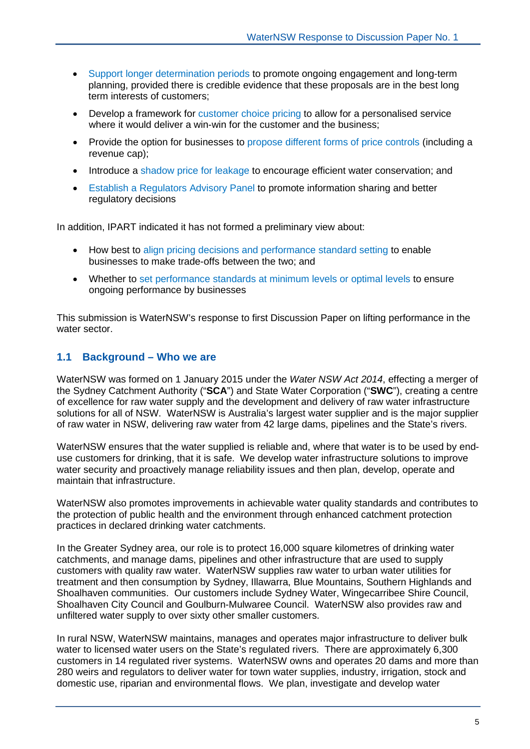- Support longer determination periods to promote ongoing engagement and long-term planning, provided there is credible evidence that these proposals are in the best long term interests of customers;
- Develop a framework for customer choice pricing to allow for a personalised service where it would deliver a win-win for the customer and the business:
- Provide the option for businesses to propose different forms of price controls (including a revenue cap);
- Introduce a shadow price for leakage to encourage efficient water conservation; and
- Establish a Regulators Advisory Panel to promote information sharing and better regulatory decisions

In addition, IPART indicated it has not formed a preliminary view about:

- How best to align pricing decisions and performance standard setting to enable businesses to make trade-offs between the two; and
- Whether to set performance standards at minimum levels or optimal levels to ensure ongoing performance by businesses

This submission is WaterNSW's response to first Discussion Paper on lifting performance in the water sector

#### **1.1 Background – Who we are**

WaterNSW was formed on 1 January 2015 under the *Water NSW Act 2014*, effecting a merger of the Sydney Catchment Authority ("**SCA**") and State Water Corporation ("**SWC**"), creating a centre of excellence for raw water supply and the development and delivery of raw water infrastructure solutions for all of NSW. WaterNSW is Australia's largest water supplier and is the major supplier of raw water in NSW, delivering raw water from 42 large dams, pipelines and the State's rivers.

WaterNSW ensures that the water supplied is reliable and, where that water is to be used by enduse customers for drinking, that it is safe. We develop water infrastructure solutions to improve water security and proactively manage reliability issues and then plan, develop, operate and maintain that infrastructure.

WaterNSW also promotes improvements in achievable water quality standards and contributes to the protection of public health and the environment through enhanced catchment protection practices in declared drinking water catchments.

In the Greater Sydney area, our role is to protect 16,000 square kilometres of drinking water catchments, and manage dams, pipelines and other infrastructure that are used to supply customers with quality raw water. WaterNSW supplies raw water to urban water utilities for treatment and then consumption by Sydney, Illawarra, Blue Mountains, Southern Highlands and Shoalhaven communities. Our customers include Sydney Water, Wingecarribee Shire Council, Shoalhaven City Council and Goulburn-Mulwaree Council. WaterNSW also provides raw and unfiltered water supply to over sixty other smaller customers.

In rural NSW, WaterNSW maintains, manages and operates major infrastructure to deliver bulk water to licensed water users on the State's regulated rivers. There are approximately 6,300 customers in 14 regulated river systems. WaterNSW owns and operates 20 dams and more than 280 weirs and regulators to deliver water for town water supplies, industry, irrigation, stock and domestic use, riparian and environmental flows. We plan, investigate and develop water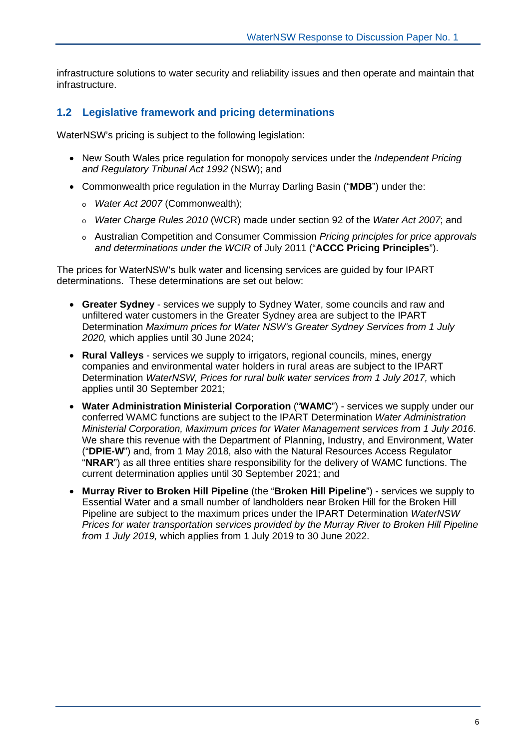infrastructure solutions to water security and reliability issues and then operate and maintain that infrastructure.

#### **1.2 Legislative framework and pricing determinations**

WaterNSW's pricing is subiect to the following legislation:

- New South Wales price regulation for monopoly services under the *Independent Pricing and Regulatory Tribunal Act 1992* (NSW); and
- Commonwealth price regulation in the Murray Darling Basin ("**MDB**") under the:
	- o *Water Act 2007* (Commonwealth);
	- o *Water Charge Rules 2010* (WCR) made under section 92 of the *Water Act 2007*; and
	- o Australian Competition and Consumer Commission *Pricing principles for price approvals and determinations under the WCIR* of July 2011 ("**ACCC Pricing Principles**").

The prices for WaterNSW's bulk water and licensing services are guided by four IPART determinations. These determinations are set out below:

- **Greater Sydney** services we supply to Sydney Water, some councils and raw and unfiltered water customers in the Greater Sydney area are subject to the IPART Determination *Maximum prices for Water NSW's Greater Sydney Services from 1 July 2020,* which applies until 30 June 2024;
- **Rural Valleys** services we supply to irrigators, regional councils, mines, energy companies and environmental water holders in rural areas are subject to the IPART Determination *WaterNSW, Prices for rural bulk water services from 1 July 2017,* which applies until 30 September 2021;
- **Water Administration Ministerial Corporation** ("**WAMC**") services we supply under our conferred WAMC functions are subject to the IPART Determination *Water Administration Ministerial Corporation, Maximum prices for Water Management services from 1 July 2016*. We share this revenue with the Department of Planning, Industry, and Environment, Water ("**DPIE-W**") and, from 1 May 2018, also with the Natural Resources Access Regulator "**NRAR**") as all three entities share responsibility for the delivery of WAMC functions. The current determination applies until 30 September 2021; and
- **Murray River to Broken Hill Pipeline** (the "**Broken Hill Pipeline**") services we supply to Essential Water and a small number of landholders near Broken Hill for the Broken Hill Pipeline are subject to the maximum prices under the IPART Determination *WaterNSW Prices for water transportation services provided by the Murray River to Broken Hill Pipeline from 1 July 2019,* which applies from 1 July 2019 to 30 June 2022.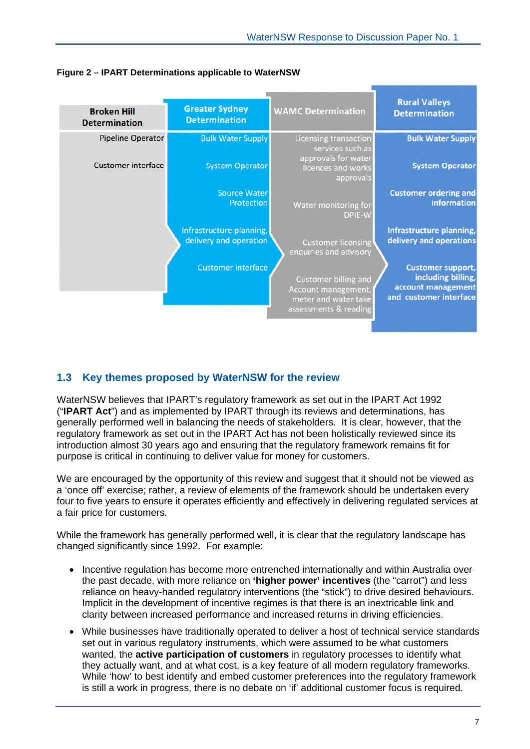| <b>Broken Hill</b>        | <b>Greater Sydney</b>     | <b>WAMC Determination</b>                                                                           | <b>Rural Valleys</b>                                                                           |
|---------------------------|---------------------------|-----------------------------------------------------------------------------------------------------|------------------------------------------------------------------------------------------------|
| <b>Determination</b>      | <b>Determination</b>      |                                                                                                     | <b>Determination</b>                                                                           |
| <b>Pipeline Operator</b>  | <b>Bulk Water Supply</b>  | Licensing transaction                                                                               | <b>Bulk Water Supply</b>                                                                       |
| <b>Customer interface</b> | <b>System Operator</b>    | services such as<br>approvals for water<br>licences and works<br>approvals                          | <b>System Operator</b>                                                                         |
|                           | Source Water              | Water monitoring for                                                                                | <b>Customer ordering and</b>                                                                   |
|                           | <b>Protection</b>         | <b>DPIE-W</b>                                                                                       | information                                                                                    |
|                           | Infrastructure planning,  | Customer licensing                                                                                  | Infrastructure planning,                                                                       |
|                           | delivery and operation    | enquiries and advisory                                                                              | delivery and operations                                                                        |
|                           | <b>Customer interface</b> | <b>Customer billing and</b><br>Account management,<br>meter and water take<br>assessments & reading | <b>Customer support,</b><br>including billing,<br>account management<br>and customer interface |

**Figure 2 – IPART Determinations applicable to WaterNSW** 

### **1.3 Key themes proposed by WaterNSW for the review**

WaterNSW believes that IPART's regulatory framework as set out in the IPART Act 1992 ("**IPART Act**") and as implemented by IPART through its reviews and determinations, has generally performed well in balancing the needs of stakeholders. It is clear, however, that the regulatory framework as set out in the IPART Act has not been holistically reviewed since its introduction almost 30 years ago and ensuring that the regulatory framework remains fit for purpose is critical in continuing to deliver value for money for customers.

We are encouraged by the opportunity of this review and suggest that it should not be viewed as a 'once off' exercise; rather, a review of elements of the framework should be undertaken every four to five years to ensure it operates efficiently and effectively in delivering regulated services at a fair price for customers.

While the framework has generally performed well, it is clear that the regulatory landscape has changed significantly since 1992. For example:

- Incentive regulation has become more entrenched internationally and within Australia over the past decade, with more reliance on **'higher power' incentives** (the "carrot") and less reliance on heavy-handed regulatory interventions (the "stick") to drive desired behaviours. Implicit in the development of incentive regimes is that there is an inextricable link and clarity between increased performance and increased returns in driving efficiencies.
- While businesses have traditionally operated to deliver a host of technical service standards set out in various regulatory instruments, which were assumed to be what customers wanted, the **active participation of customers** in regulatory processes to identify what they actually want, and at what cost, is a key feature of all modern regulatory frameworks. While 'how' to best identify and embed customer preferences into the regulatory framework is still a work in progress, there is no debate on 'if' additional customer focus is required.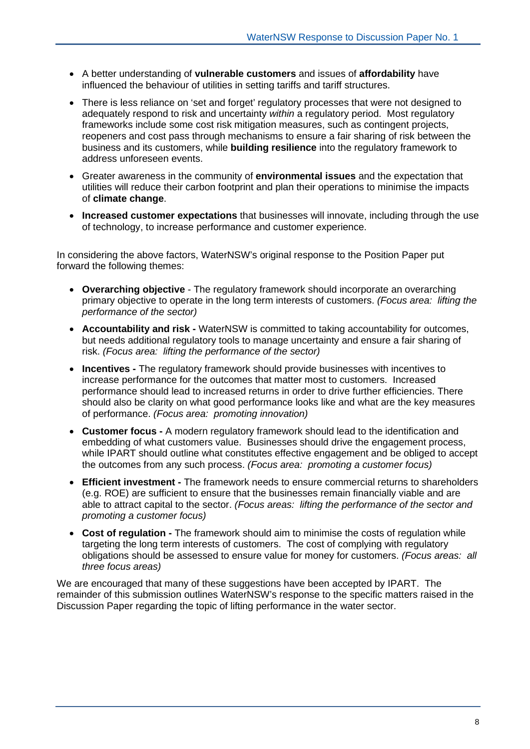- A better understanding of **vulnerable customers** and issues of **affordability** have influenced the behaviour of utilities in setting tariffs and tariff structures.
- There is less reliance on 'set and forget' regulatory processes that were not designed to adequately respond to risk and uncertainty *within* a regulatory period. Most regulatory frameworks include some cost risk mitigation measures, such as contingent projects, reopeners and cost pass through mechanisms to ensure a fair sharing of risk between the business and its customers, while **building resilience** into the regulatory framework to address unforeseen events.
- Greater awareness in the community of **environmental issues** and the expectation that utilities will reduce their carbon footprint and plan their operations to minimise the impacts of **climate change**.
- **Increased customer expectations** that businesses will innovate, including through the use of technology, to increase performance and customer experience.

In considering the above factors, WaterNSW's original response to the Position Paper put forward the following themes:

- **Overarching objective** The regulatory framework should incorporate an overarching primary objective to operate in the long term interests of customers. *(Focus area: lifting the performance of the sector)*
- **Accountability and risk -** WaterNSW is committed to taking accountability for outcomes, but needs additional regulatory tools to manage uncertainty and ensure a fair sharing of risk. *(Focus area: lifting the performance of the sector)*
- **Incentives -** The regulatory framework should provide businesses with incentives to increase performance for the outcomes that matter most to customers. Increased performance should lead to increased returns in order to drive further efficiencies. There should also be clarity on what good performance looks like and what are the key measures of performance. *(Focus area: promoting innovation)*
- **Customer focus -** A modern regulatory framework should lead to the identification and embedding of what customers value. Businesses should drive the engagement process, while IPART should outline what constitutes effective engagement and be obliged to accept the outcomes from any such process. *(Focus area: promoting a customer focus)*
- **Efficient investment -** The framework needs to ensure commercial returns to shareholders (e.g. ROE) are sufficient to ensure that the businesses remain financially viable and are able to attract capital to the sector. *(Focus areas: lifting the performance of the sector and promoting a customer focus)*
- **Cost of regulation -** The framework should aim to minimise the costs of regulation while targeting the long term interests of customers. The cost of complying with regulatory obligations should be assessed to ensure value for money for customers. *(Focus areas: all three focus areas)*

We are encouraged that many of these suggestions have been accepted by IPART. The remainder of this submission outlines WaterNSW's response to the specific matters raised in the Discussion Paper regarding the topic of lifting performance in the water sector.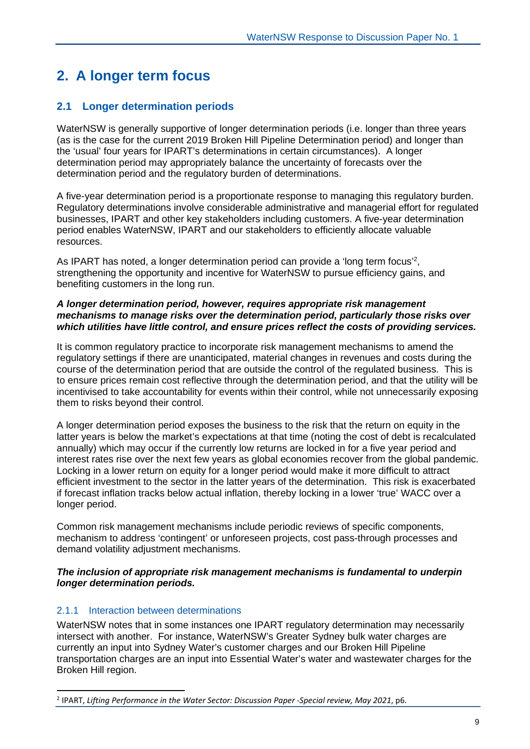## **2. A longer term focus**

### **2.1 Longer determination periods**

WaterNSW is generally supportive of longer determination periods (i.e. longer than three years (as is the case for the current 2019 Broken Hill Pipeline Determination period) and longer than the 'usual' four years for IPART's determinations in certain circumstances). A longer determination period may appropriately balance the uncertainty of forecasts over the determination period and the regulatory burden of determinations.

A five-year determination period is a proportionate response to managing this regulatory burden. Regulatory determinations involve considerable administrative and managerial effort for regulated businesses, IPART and other key stakeholders including customers. A five-year determination period enables WaterNSW, IPART and our stakeholders to efficiently allocate valuable resources.

As IPART has noted, a longer determination period can provide a 'long term focus'<sup>2</sup>, strengthening the opportunity and incentive for WaterNSW to pursue efficiency gains, and benefiting customers in the long run.

#### *A longer determination period, however, requires appropriate risk management mechanisms to manage risks over the determination period, particularly those risks over which utilities have little control, and ensure prices reflect the costs of providing services.*

It is common regulatory practice to incorporate risk management mechanisms to amend the regulatory settings if there are unanticipated, material changes in revenues and costs during the course of the determination period that are outside the control of the regulated business. This is to ensure prices remain cost reflective through the determination period, and that the utility will be incentivised to take accountability for events within their control, while not unnecessarily exposing them to risks beyond their control.

A longer determination period exposes the business to the risk that the return on equity in the latter years is below the market's expectations at that time (noting the cost of debt is recalculated annually) which may occur if the currently low returns are locked in for a five year period and interest rates rise over the next few years as global economies recover from the global pandemic. Locking in a lower return on equity for a longer period would make it more difficult to attract efficient investment to the sector in the latter years of the determination. This risk is exacerbated if forecast inflation tracks below actual inflation, thereby locking in a lower 'true' WACC over a longer period.

Common risk management mechanisms include periodic reviews of specific components, mechanism to address 'contingent' or unforeseen projects, cost pass-through processes and demand volatility adjustment mechanisms.

#### *The inclusion of appropriate risk management mechanisms is fundamental to underpin longer determination periods.*

#### 2.1.1 Interaction between determinations

WaterNSW notes that in some instances one IPART regulatory determination may necessarily intersect with another. For instance, WaterNSW's Greater Sydney bulk water charges are currently an input into Sydney Water's customer charges and our Broken Hill Pipeline transportation charges are an input into Essential Water's water and wastewater charges for the Broken Hill region.

<sup>2</sup> IPART, *Lifting Performance in the Water Sector: Discussion Paper -Special review, May 2021*, p6.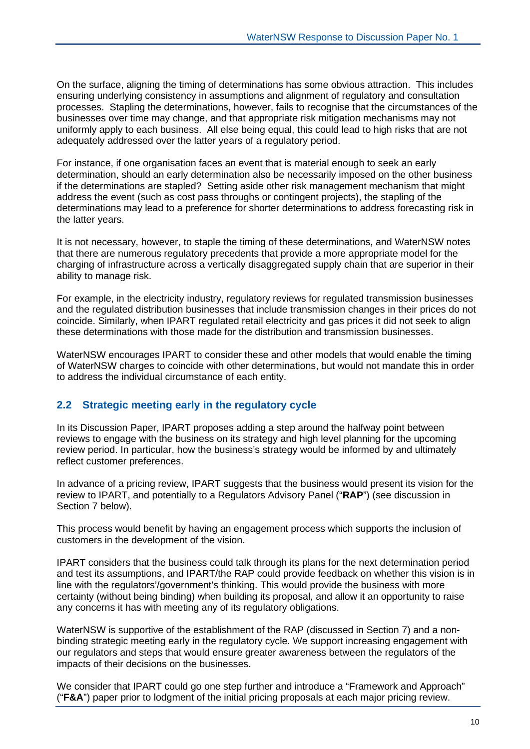On the surface, aligning the timing of determinations has some obvious attraction. This includes ensuring underlying consistency in assumptions and alignment of regulatory and consultation processes. Stapling the determinations, however, fails to recognise that the circumstances of the businesses over time may change, and that appropriate risk mitigation mechanisms may not uniformly apply to each business. All else being equal, this could lead to high risks that are not adequately addressed over the latter years of a regulatory period.

For instance, if one organisation faces an event that is material enough to seek an early determination, should an early determination also be necessarily imposed on the other business if the determinations are stapled? Setting aside other risk management mechanism that might address the event (such as cost pass throughs or contingent projects), the stapling of the determinations may lead to a preference for shorter determinations to address forecasting risk in the latter years.

It is not necessary, however, to staple the timing of these determinations, and WaterNSW notes that there are numerous regulatory precedents that provide a more appropriate model for the charging of infrastructure across a vertically disaggregated supply chain that are superior in their ability to manage risk.

For example, in the electricity industry, regulatory reviews for regulated transmission businesses and the regulated distribution businesses that include transmission changes in their prices do not coincide. Similarly, when IPART regulated retail electricity and gas prices it did not seek to align these determinations with those made for the distribution and transmission businesses.

WaterNSW encourages IPART to consider these and other models that would enable the timing of WaterNSW charges to coincide with other determinations, but would not mandate this in order to address the individual circumstance of each entity.

#### **2.2 Strategic meeting early in the regulatory cycle**

In its Discussion Paper, IPART proposes adding a step around the halfway point between reviews to engage with the business on its strategy and high level planning for the upcoming review period. In particular, how the business's strategy would be informed by and ultimately reflect customer preferences.

In advance of a pricing review, IPART suggests that the business would present its vision for the review to IPART, and potentially to a Regulators Advisory Panel ("**RAP**") (see discussion in Section 7 below).

This process would benefit by having an engagement process which supports the inclusion of customers in the development of the vision.

IPART considers that the business could talk through its plans for the next determination period and test its assumptions, and IPART/the RAP could provide feedback on whether this vision is in line with the regulators'/government's thinking. This would provide the business with more certainty (without being binding) when building its proposal, and allow it an opportunity to raise any concerns it has with meeting any of its regulatory obligations.

WaterNSW is supportive of the establishment of the RAP (discussed in Section 7) and a nonbinding strategic meeting early in the regulatory cycle. We support increasing engagement with our regulators and steps that would ensure greater awareness between the regulators of the impacts of their decisions on the businesses.

We consider that IPART could go one step further and introduce a "Framework and Approach" ("**F&A**") paper prior to lodgment of the initial pricing proposals at each major pricing review.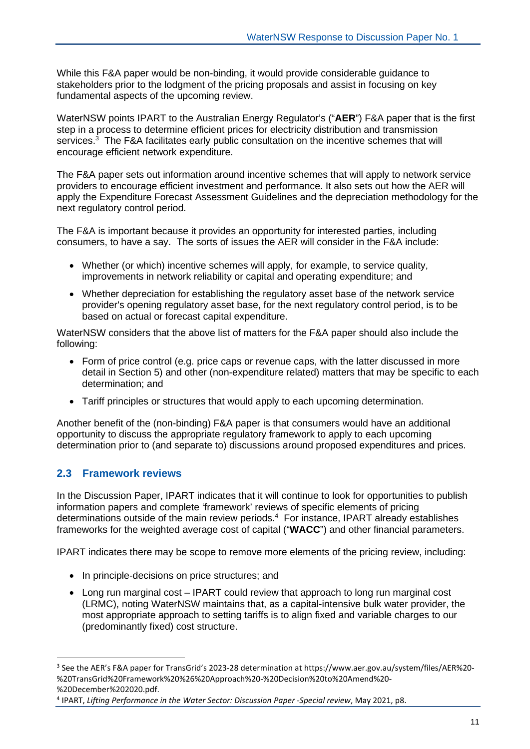While this F&A paper would be non-binding, it would provide considerable guidance to stakeholders prior to the lodgment of the pricing proposals and assist in focusing on key fundamental aspects of the upcoming review.

WaterNSW points IPART to the Australian Energy Regulator's ("**AER**") F&A paper that is the first step in a process to determine efficient prices for electricity distribution and transmission services.<sup>3</sup> The F&A facilitates early public consultation on the incentive schemes that will encourage efficient network expenditure.

The F&A paper sets out information around incentive schemes that will apply to network service providers to encourage efficient investment and performance. It also sets out how the AER will apply the Expenditure Forecast Assessment Guidelines and the depreciation methodology for the next regulatory control period.

The F&A is important because it provides an opportunity for interested parties, including consumers, to have a say. The sorts of issues the AER will consider in the F&A include:

- Whether (or which) incentive schemes will apply, for example, to service quality, improvements in network reliability or capital and operating expenditure; and
- Whether depreciation for establishing the regulatory asset base of the network service provider's opening regulatory asset base, for the next regulatory control period, is to be based on actual or forecast capital expenditure.

WaterNSW considers that the above list of matters for the F&A paper should also include the following:

- Form of price control (e.g. price caps or revenue caps, with the latter discussed in more detail in Section 5) and other (non-expenditure related) matters that may be specific to each determination; and
- Tariff principles or structures that would apply to each upcoming determination.

Another benefit of the (non-binding) F&A paper is that consumers would have an additional opportunity to discuss the appropriate regulatory framework to apply to each upcoming determination prior to (and separate to) discussions around proposed expenditures and prices.

#### **2.3 Framework reviews**

In the Discussion Paper, IPART indicates that it will continue to look for opportunities to publish information papers and complete 'framework' reviews of specific elements of pricing determinations outside of the main review periods.<sup>4</sup> For instance, IPART already establishes frameworks for the weighted average cost of capital ("**WACC**") and other financial parameters.

IPART indicates there may be scope to remove more elements of the pricing review, including:

- In principle-decisions on price structures; and
- Long run marginal cost IPART could review that approach to long run marginal cost (LRMC), noting WaterNSW maintains that, as a capital-intensive bulk water provider, the most appropriate approach to setting tariffs is to align fixed and variable charges to our (predominantly fixed) cost structure.

<sup>3</sup> See the AER's F&A paper for TransGrid's 2023-28 determination at https://www.aer.gov.au/system/files/AER%20- %20TransGrid%20Framework%20%26%20Approach%20-%20Decision%20to%20Amend%20- %20December%202020.pdf.

<sup>4</sup> IPART, *Lifting Performance in the Water Sector: Discussion Paper -Special review*, May 2021, p8.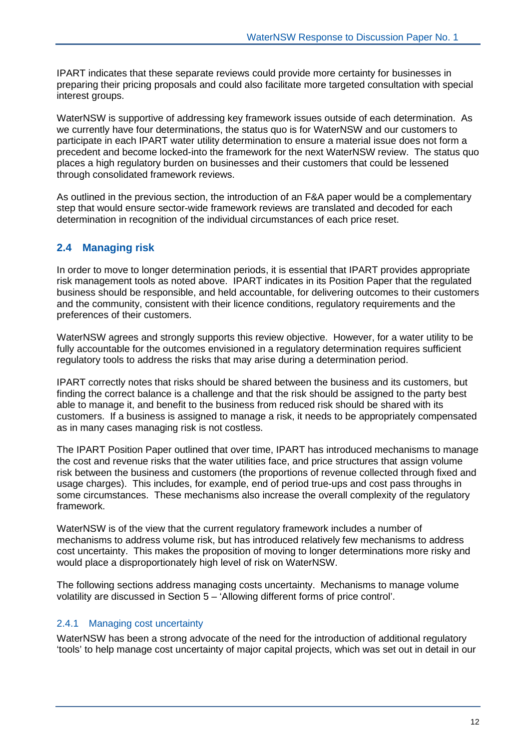IPART indicates that these separate reviews could provide more certainty for businesses in preparing their pricing proposals and could also facilitate more targeted consultation with special interest groups.

WaterNSW is supportive of addressing key framework issues outside of each determination. As we currently have four determinations, the status quo is for WaterNSW and our customers to participate in each IPART water utility determination to ensure a material issue does not form a precedent and become locked-into the framework for the next WaterNSW review. The status quo places a high regulatory burden on businesses and their customers that could be lessened through consolidated framework reviews.

As outlined in the previous section, the introduction of an F&A paper would be a complementary step that would ensure sector-wide framework reviews are translated and decoded for each determination in recognition of the individual circumstances of each price reset.

### **2.4 Managing risk**

In order to move to longer determination periods, it is essential that IPART provides appropriate risk management tools as noted above. IPART indicates in its Position Paper that the regulated business should be responsible, and held accountable, for delivering outcomes to their customers and the community, consistent with their licence conditions, regulatory requirements and the preferences of their customers.

WaterNSW agrees and strongly supports this review objective. However, for a water utility to be fully accountable for the outcomes envisioned in a regulatory determination requires sufficient regulatory tools to address the risks that may arise during a determination period.

IPART correctly notes that risks should be shared between the business and its customers, but finding the correct balance is a challenge and that the risk should be assigned to the party best able to manage it, and benefit to the business from reduced risk should be shared with its customers. If a business is assigned to manage a risk, it needs to be appropriately compensated as in many cases managing risk is not costless.

The IPART Position Paper outlined that over time, IPART has introduced mechanisms to manage the cost and revenue risks that the water utilities face, and price structures that assign volume risk between the business and customers (the proportions of revenue collected through fixed and usage charges). This includes, for example, end of period true-ups and cost pass throughs in some circumstances. These mechanisms also increase the overall complexity of the regulatory framework.

WaterNSW is of the view that the current regulatory framework includes a number of mechanisms to address volume risk, but has introduced relatively few mechanisms to address cost uncertainty. This makes the proposition of moving to longer determinations more risky and would place a disproportionately high level of risk on WaterNSW.

The following sections address managing costs uncertainty. Mechanisms to manage volume volatility are discussed in Section 5 – 'Allowing different forms of price control'.

#### 2.4.1 Managing cost uncertainty

WaterNSW has been a strong advocate of the need for the introduction of additional regulatory 'tools' to help manage cost uncertainty of major capital projects, which was set out in detail in our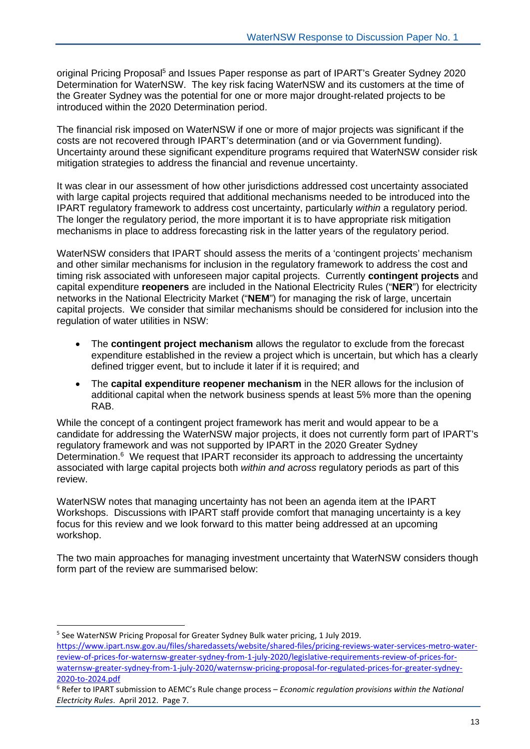original Pricing Proposal<sup>5</sup> and Issues Paper response as part of IPART's Greater Sydney 2020 Determination for WaterNSW. The key risk facing WaterNSW and its customers at the time of the Greater Sydney was the potential for one or more major drought-related projects to be introduced within the 2020 Determination period.

The financial risk imposed on WaterNSW if one or more of major projects was significant if the costs are not recovered through IPART's determination (and or via Government funding). Uncertainty around these significant expenditure programs required that WaterNSW consider risk mitigation strategies to address the financial and revenue uncertainty.

It was clear in our assessment of how other jurisdictions addressed cost uncertainty associated with large capital projects required that additional mechanisms needed to be introduced into the IPART regulatory framework to address cost uncertainty, particularly *within* a regulatory period. The longer the regulatory period, the more important it is to have appropriate risk mitigation mechanisms in place to address forecasting risk in the latter years of the regulatory period.

WaterNSW considers that IPART should assess the merits of a 'contingent projects' mechanism and other similar mechanisms for inclusion in the regulatory framework to address the cost and timing risk associated with unforeseen major capital projects. Currently **contingent projects** and capital expenditure **reopeners** are included in the National Electricity Rules ("**NER**") for electricity networks in the National Electricity Market ("**NEM**") for managing the risk of large, uncertain capital projects. We consider that similar mechanisms should be considered for inclusion into the regulation of water utilities in NSW:

- The **contingent project mechanism** allows the regulator to exclude from the forecast expenditure established in the review a project which is uncertain, but which has a clearly defined trigger event, but to include it later if it is required; and
- The **capital expenditure reopener mechanism** in the NER allows for the inclusion of additional capital when the network business spends at least 5% more than the opening RAB.

While the concept of a contingent project framework has merit and would appear to be a candidate for addressing the WaterNSW major projects, it does not currently form part of IPART's regulatory framework and was not supported by IPART in the 2020 Greater Sydney Determination.<sup>6</sup> We request that IPART reconsider its approach to addressing the uncertainty associated with large capital projects both *within and across* regulatory periods as part of this review.

WaterNSW notes that managing uncertainty has not been an agenda item at the IPART Workshops. Discussions with IPART staff provide comfort that managing uncertainty is a key focus for this review and we look forward to this matter being addressed at an upcoming workshop.

The two main approaches for managing investment uncertainty that WaterNSW considers though form part of the review are summarised below:

<sup>&</sup>lt;sup>5</sup> See WaterNSW Pricing Proposal for Greater Sydney Bulk water pricing, 1 July 2019.

https://www.ipart.nsw.gov.au/files/sharedassets/website/shared-files/pricing-reviews-water-services-metro-waterreview-of-prices-for-waternsw-greater-sydney-from-1-july-2020/legislative-requirements-review-of-prices-forwaternsw-greater-sydney-from-1-july-2020/waternsw-pricing-proposal-for-regulated-prices-for-greater-sydney-2020-to-2024.pdf

<sup>6</sup> Refer to IPART submission to AEMC's Rule change process – *Economic regulation provisions within the National Electricity Rules*. April 2012. Page 7.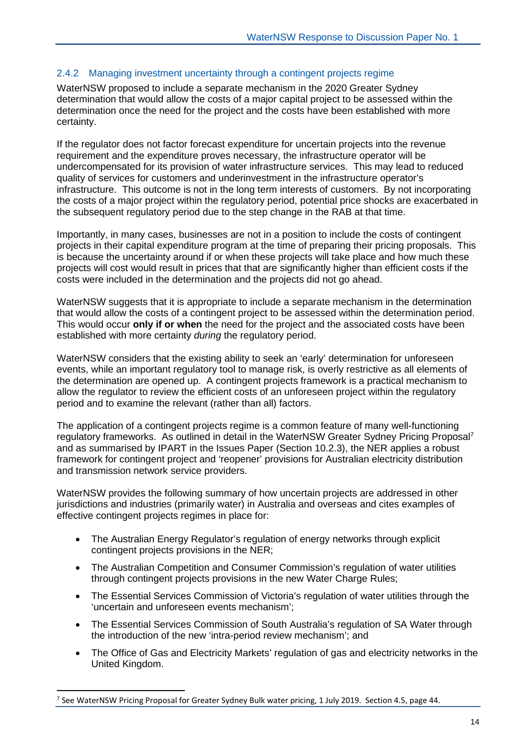#### 2.4.2 Managing investment uncertainty through a contingent projects regime

WaterNSW proposed to include a separate mechanism in the 2020 Greater Sydney determination that would allow the costs of a major capital project to be assessed within the determination once the need for the project and the costs have been established with more certainty.

If the regulator does not factor forecast expenditure for uncertain projects into the revenue requirement and the expenditure proves necessary, the infrastructure operator will be undercompensated for its provision of water infrastructure services. This may lead to reduced quality of services for customers and underinvestment in the infrastructure operator's infrastructure. This outcome is not in the long term interests of customers. By not incorporating the costs of a major project within the regulatory period, potential price shocks are exacerbated in the subsequent regulatory period due to the step change in the RAB at that time.

Importantly, in many cases, businesses are not in a position to include the costs of contingent projects in their capital expenditure program at the time of preparing their pricing proposals. This is because the uncertainty around if or when these projects will take place and how much these projects will cost would result in prices that that are significantly higher than efficient costs if the costs were included in the determination and the projects did not go ahead.

WaterNSW suggests that it is appropriate to include a separate mechanism in the determination that would allow the costs of a contingent project to be assessed within the determination period. This would occur **only if or when** the need for the project and the associated costs have been established with more certainty *during* the regulatory period.

WaterNSW considers that the existing ability to seek an 'early' determination for unforeseen events, while an important regulatory tool to manage risk, is overly restrictive as all elements of the determination are opened up. A contingent projects framework is a practical mechanism to allow the regulator to review the efficient costs of an unforeseen project within the regulatory period and to examine the relevant (rather than all) factors.

The application of a contingent projects regime is a common feature of many well-functioning regulatory frameworks. As outlined in detail in the WaterNSW Greater Sydney Pricing Proposal<sup>7</sup> and as summarised by IPART in the Issues Paper (Section 10.2.3), the NER applies a robust framework for contingent project and 'reopener' provisions for Australian electricity distribution and transmission network service providers.

WaterNSW provides the following summary of how uncertain projects are addressed in other jurisdictions and industries (primarily water) in Australia and overseas and cites examples of effective contingent projects regimes in place for:

- The Australian Energy Regulator's regulation of energy networks through explicit contingent projects provisions in the NER;
- The Australian Competition and Consumer Commission's regulation of water utilities through contingent projects provisions in the new Water Charge Rules;
- The Essential Services Commission of Victoria's regulation of water utilities through the 'uncertain and unforeseen events mechanism';
- The Essential Services Commission of South Australia's regulation of SA Water through the introduction of the new 'intra-period review mechanism'; and
- The Office of Gas and Electricity Markets' regulation of gas and electricity networks in the United Kingdom.

<sup>7</sup> See WaterNSW Pricing Proposal for Greater Sydney Bulk water pricing, 1 July 2019. Section 4.5, page 44.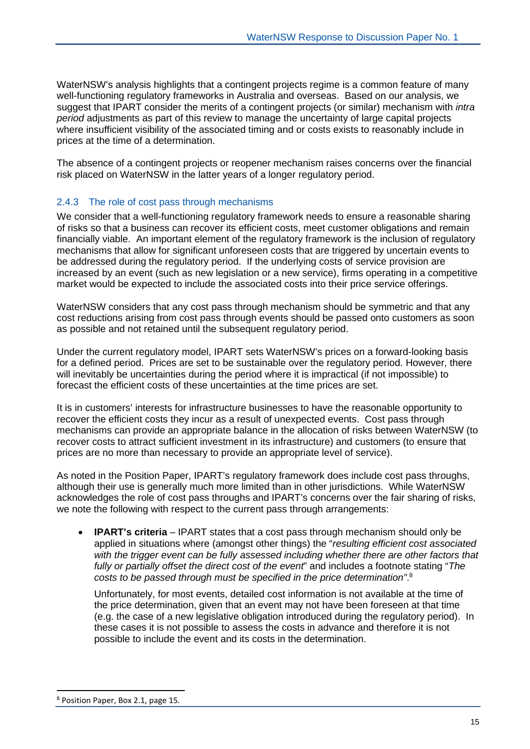WaterNSW's analysis highlights that a contingent projects regime is a common feature of many well-functioning regulatory frameworks in Australia and overseas. Based on our analysis, we suggest that IPART consider the merits of a contingent projects (or similar) mechanism with *intra period* adjustments as part of this review to manage the uncertainty of large capital projects where insufficient visibility of the associated timing and or costs exists to reasonably include in prices at the time of a determination.

The absence of a contingent projects or reopener mechanism raises concerns over the financial risk placed on WaterNSW in the latter years of a longer regulatory period.

#### 2.4.3 The role of cost pass through mechanisms

We consider that a well-functioning regulatory framework needs to ensure a reasonable sharing of risks so that a business can recover its efficient costs, meet customer obligations and remain financially viable. An important element of the regulatory framework is the inclusion of regulatory mechanisms that allow for significant unforeseen costs that are triggered by uncertain events to be addressed during the regulatory period. If the underlying costs of service provision are increased by an event (such as new legislation or a new service), firms operating in a competitive market would be expected to include the associated costs into their price service offerings.

WaterNSW considers that any cost pass through mechanism should be symmetric and that any cost reductions arising from cost pass through events should be passed onto customers as soon as possible and not retained until the subsequent regulatory period.

Under the current regulatory model, IPART sets WaterNSW's prices on a forward-looking basis for a defined period. Prices are set to be sustainable over the regulatory period. However, there will inevitably be uncertainties during the period where it is impractical (if not impossible) to forecast the efficient costs of these uncertainties at the time prices are set.

It is in customers' interests for infrastructure businesses to have the reasonable opportunity to recover the efficient costs they incur as a result of unexpected events. Cost pass through mechanisms can provide an appropriate balance in the allocation of risks between WaterNSW (to recover costs to attract sufficient investment in its infrastructure) and customers (to ensure that prices are no more than necessary to provide an appropriate level of service).

As noted in the Position Paper, IPART's regulatory framework does include cost pass throughs, although their use is generally much more limited than in other jurisdictions. While WaterNSW acknowledges the role of cost pass throughs and IPART's concerns over the fair sharing of risks, we note the following with respect to the current pass through arrangements:

 **IPART's criteria** – IPART states that a cost pass through mechanism should only be applied in situations where (amongst other things) the "*resulting efficient cost associated with the trigger event can be fully assessed including whether there are other factors that fully or partially offset the direct cost of the event*" and includes a footnote stating "*The costs to be passed through must be specified in the price determination"*. 8

Unfortunately, for most events, detailed cost information is not available at the time of the price determination, given that an event may not have been foreseen at that time (e.g. the case of a new legislative obligation introduced during the regulatory period). In these cases it is not possible to assess the costs in advance and therefore it is not possible to include the event and its costs in the determination.

<sup>8</sup> Position Paper, Box 2.1, page 15.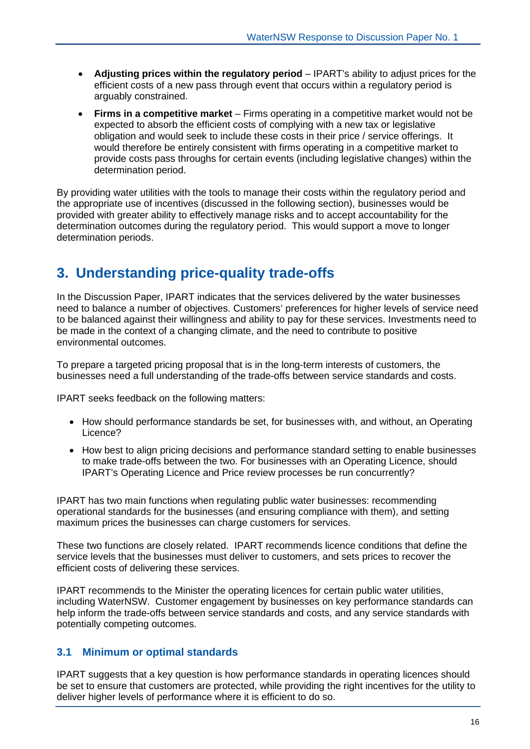- **Adjusting prices within the regulatory period** IPART's ability to adjust prices for the efficient costs of a new pass through event that occurs within a regulatory period is arguably constrained.
- **Firms in a competitive market** Firms operating in a competitive market would not be expected to absorb the efficient costs of complying with a new tax or legislative obligation and would seek to include these costs in their price / service offerings. It would therefore be entirely consistent with firms operating in a competitive market to provide costs pass throughs for certain events (including legislative changes) within the determination period.

By providing water utilities with the tools to manage their costs within the regulatory period and the appropriate use of incentives (discussed in the following section), businesses would be provided with greater ability to effectively manage risks and to accept accountability for the determination outcomes during the regulatory period. This would support a move to longer determination periods.

### **3. Understanding price-quality trade-offs**

In the Discussion Paper, IPART indicates that the services delivered by the water businesses need to balance a number of objectives. Customers' preferences for higher levels of service need to be balanced against their willingness and ability to pay for these services. Investments need to be made in the context of a changing climate, and the need to contribute to positive environmental outcomes.

To prepare a targeted pricing proposal that is in the long-term interests of customers, the businesses need a full understanding of the trade-offs between service standards and costs.

IPART seeks feedback on the following matters:

- How should performance standards be set, for businesses with, and without, an Operating Licence?
- How best to align pricing decisions and performance standard setting to enable businesses to make trade-offs between the two. For businesses with an Operating Licence, should IPART's Operating Licence and Price review processes be run concurrently?

IPART has two main functions when regulating public water businesses: recommending operational standards for the businesses (and ensuring compliance with them), and setting maximum prices the businesses can charge customers for services.

These two functions are closely related. IPART recommends licence conditions that define the service levels that the businesses must deliver to customers, and sets prices to recover the efficient costs of delivering these services.

IPART recommends to the Minister the operating licences for certain public water utilities, including WaterNSW. Customer engagement by businesses on key performance standards can help inform the trade-offs between service standards and costs, and any service standards with potentially competing outcomes.

#### **3.1 Minimum or optimal standards**

IPART suggests that a key question is how performance standards in operating licences should be set to ensure that customers are protected, while providing the right incentives for the utility to deliver higher levels of performance where it is efficient to do so.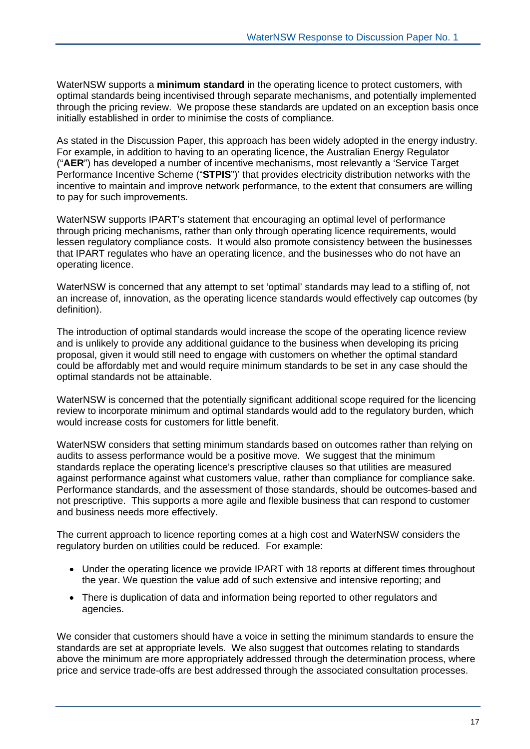WaterNSW supports a **minimum standard** in the operating licence to protect customers, with optimal standards being incentivised through separate mechanisms, and potentially implemented through the pricing review. We propose these standards are updated on an exception basis once initially established in order to minimise the costs of compliance.

As stated in the Discussion Paper, this approach has been widely adopted in the energy industry. For example, in addition to having to an operating licence, the Australian Energy Regulator ("**AER**") has developed a number of incentive mechanisms, most relevantly a 'Service Target Performance Incentive Scheme ("**STPIS**")' that provides electricity distribution networks with the incentive to maintain and improve network performance, to the extent that consumers are willing to pay for such improvements.

WaterNSW supports IPART's statement that encouraging an optimal level of performance through pricing mechanisms, rather than only through operating licence requirements, would lessen regulatory compliance costs. It would also promote consistency between the businesses that IPART regulates who have an operating licence, and the businesses who do not have an operating licence.

WaterNSW is concerned that any attempt to set 'optimal' standards may lead to a stifling of, not an increase of, innovation, as the operating licence standards would effectively cap outcomes (by definition).

The introduction of optimal standards would increase the scope of the operating licence review and is unlikely to provide any additional guidance to the business when developing its pricing proposal, given it would still need to engage with customers on whether the optimal standard could be affordably met and would require minimum standards to be set in any case should the optimal standards not be attainable.

WaterNSW is concerned that the potentially significant additional scope required for the licencing review to incorporate minimum and optimal standards would add to the regulatory burden, which would increase costs for customers for little benefit.

WaterNSW considers that setting minimum standards based on outcomes rather than relying on audits to assess performance would be a positive move. We suggest that the minimum standards replace the operating licence's prescriptive clauses so that utilities are measured against performance against what customers value, rather than compliance for compliance sake. Performance standards, and the assessment of those standards, should be outcomes-based and not prescriptive. This supports a more agile and flexible business that can respond to customer and business needs more effectively.

The current approach to licence reporting comes at a high cost and WaterNSW considers the regulatory burden on utilities could be reduced. For example:

- Under the operating licence we provide IPART with 18 reports at different times throughout the year. We question the value add of such extensive and intensive reporting; and
- There is duplication of data and information being reported to other regulators and agencies.

We consider that customers should have a voice in setting the minimum standards to ensure the standards are set at appropriate levels. We also suggest that outcomes relating to standards above the minimum are more appropriately addressed through the determination process, where price and service trade-offs are best addressed through the associated consultation processes.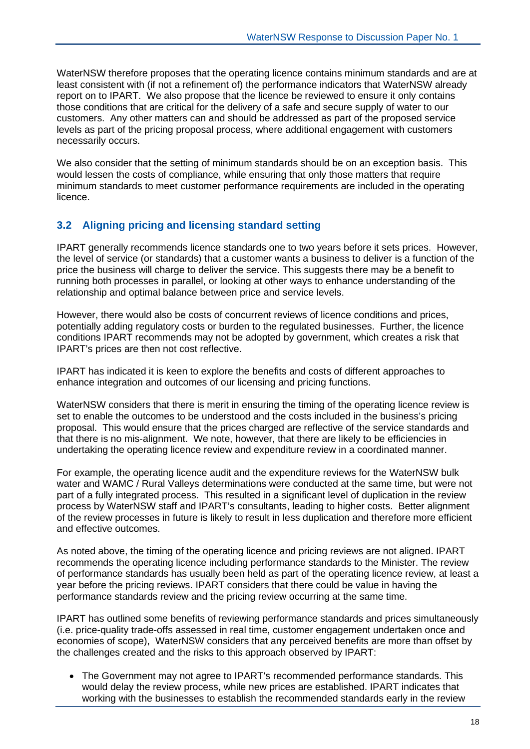WaterNSW therefore proposes that the operating licence contains minimum standards and are at least consistent with (if not a refinement of) the performance indicators that WaterNSW already report on to IPART. We also propose that the licence be reviewed to ensure it only contains those conditions that are critical for the delivery of a safe and secure supply of water to our customers. Any other matters can and should be addressed as part of the proposed service levels as part of the pricing proposal process, where additional engagement with customers necessarily occurs.

We also consider that the setting of minimum standards should be on an exception basis. This would lessen the costs of compliance, while ensuring that only those matters that require minimum standards to meet customer performance requirements are included in the operating licence.

#### **3.2 Aligning pricing and licensing standard setting**

IPART generally recommends licence standards one to two years before it sets prices. However, the level of service (or standards) that a customer wants a business to deliver is a function of the price the business will charge to deliver the service. This suggests there may be a benefit to running both processes in parallel, or looking at other ways to enhance understanding of the relationship and optimal balance between price and service levels.

However, there would also be costs of concurrent reviews of licence conditions and prices, potentially adding regulatory costs or burden to the regulated businesses. Further, the licence conditions IPART recommends may not be adopted by government, which creates a risk that IPART's prices are then not cost reflective.

IPART has indicated it is keen to explore the benefits and costs of different approaches to enhance integration and outcomes of our licensing and pricing functions.

WaterNSW considers that there is merit in ensuring the timing of the operating licence review is set to enable the outcomes to be understood and the costs included in the business's pricing proposal. This would ensure that the prices charged are reflective of the service standards and that there is no mis-alignment. We note, however, that there are likely to be efficiencies in undertaking the operating licence review and expenditure review in a coordinated manner.

For example, the operating licence audit and the expenditure reviews for the WaterNSW bulk water and WAMC / Rural Valleys determinations were conducted at the same time, but were not part of a fully integrated process. This resulted in a significant level of duplication in the review process by WaterNSW staff and IPART's consultants, leading to higher costs. Better alignment of the review processes in future is likely to result in less duplication and therefore more efficient and effective outcomes.

As noted above, the timing of the operating licence and pricing reviews are not aligned. IPART recommends the operating licence including performance standards to the Minister. The review of performance standards has usually been held as part of the operating licence review, at least a year before the pricing reviews. IPART considers that there could be value in having the performance standards review and the pricing review occurring at the same time.

IPART has outlined some benefits of reviewing performance standards and prices simultaneously (i.e. price-quality trade-offs assessed in real time, customer engagement undertaken once and economies of scope), WaterNSW considers that any perceived benefits are more than offset by the challenges created and the risks to this approach observed by IPART:

 The Government may not agree to IPART's recommended performance standards. This would delay the review process, while new prices are established. IPART indicates that working with the businesses to establish the recommended standards early in the review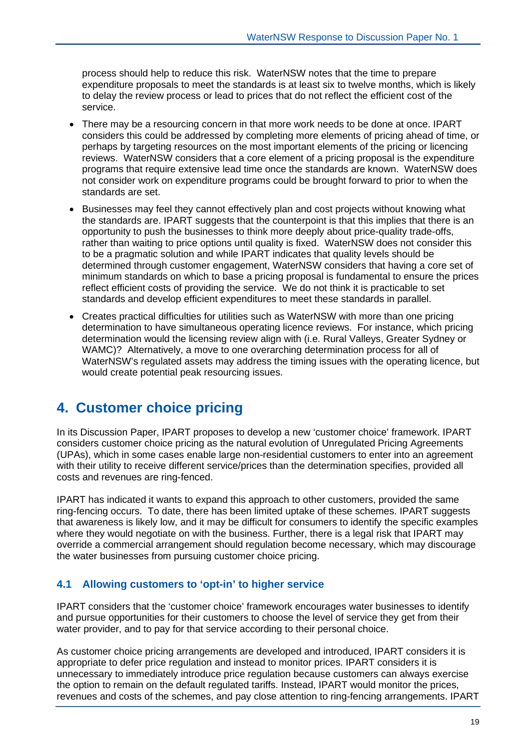process should help to reduce this risk. WaterNSW notes that the time to prepare expenditure proposals to meet the standards is at least six to twelve months, which is likely to delay the review process or lead to prices that do not reflect the efficient cost of the service.

- There may be a resourcing concern in that more work needs to be done at once. IPART considers this could be addressed by completing more elements of pricing ahead of time, or perhaps by targeting resources on the most important elements of the pricing or licencing reviews. WaterNSW considers that a core element of a pricing proposal is the expenditure programs that require extensive lead time once the standards are known. WaterNSW does not consider work on expenditure programs could be brought forward to prior to when the standards are set.
- Businesses may feel they cannot effectively plan and cost projects without knowing what the standards are. IPART suggests that the counterpoint is that this implies that there is an opportunity to push the businesses to think more deeply about price-quality trade-offs, rather than waiting to price options until quality is fixed. WaterNSW does not consider this to be a pragmatic solution and while IPART indicates that quality levels should be determined through customer engagement, WaterNSW considers that having a core set of minimum standards on which to base a pricing proposal is fundamental to ensure the prices reflect efficient costs of providing the service. We do not think it is practicable to set standards and develop efficient expenditures to meet these standards in parallel.
- Creates practical difficulties for utilities such as WaterNSW with more than one pricing determination to have simultaneous operating licence reviews. For instance, which pricing determination would the licensing review align with (i.e. Rural Valleys, Greater Sydney or WAMC)? Alternatively, a move to one overarching determination process for all of WaterNSW's regulated assets may address the timing issues with the operating licence, but would create potential peak resourcing issues.

### **4. Customer choice pricing**

In its Discussion Paper, IPART proposes to develop a new 'customer choice' framework. IPART considers customer choice pricing as the natural evolution of Unregulated Pricing Agreements (UPAs), which in some cases enable large non-residential customers to enter into an agreement with their utility to receive different service/prices than the determination specifies, provided all costs and revenues are ring-fenced.

IPART has indicated it wants to expand this approach to other customers, provided the same ring-fencing occurs. To date, there has been limited uptake of these schemes. IPART suggests that awareness is likely low, and it may be difficult for consumers to identify the specific examples where they would negotiate on with the business. Further, there is a legal risk that IPART may override a commercial arrangement should regulation become necessary, which may discourage the water businesses from pursuing customer choice pricing.

#### **4.1 Allowing customers to 'opt-in' to higher service**

IPART considers that the 'customer choice' framework encourages water businesses to identify and pursue opportunities for their customers to choose the level of service they get from their water provider, and to pay for that service according to their personal choice.

As customer choice pricing arrangements are developed and introduced, IPART considers it is appropriate to defer price regulation and instead to monitor prices. IPART considers it is unnecessary to immediately introduce price regulation because customers can always exercise the option to remain on the default regulated tariffs. Instead, IPART would monitor the prices, revenues and costs of the schemes, and pay close attention to ring-fencing arrangements. IPART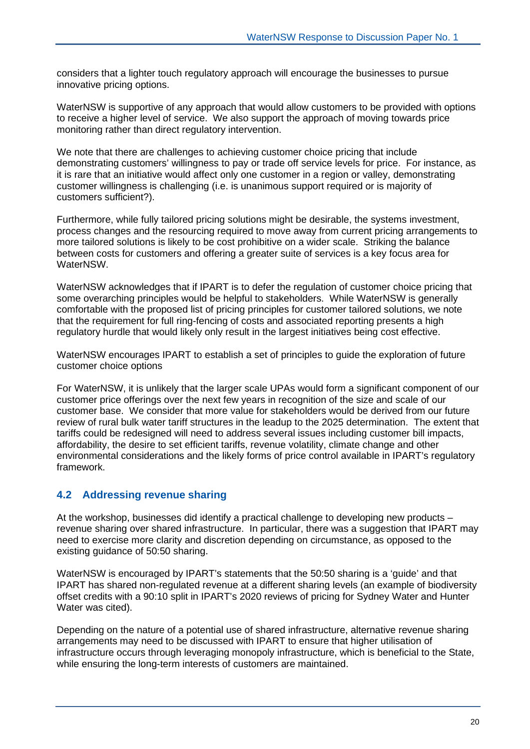considers that a lighter touch regulatory approach will encourage the businesses to pursue innovative pricing options.

WaterNSW is supportive of any approach that would allow customers to be provided with options to receive a higher level of service. We also support the approach of moving towards price monitoring rather than direct regulatory intervention.

We note that there are challenges to achieving customer choice pricing that include demonstrating customers' willingness to pay or trade off service levels for price. For instance, as it is rare that an initiative would affect only one customer in a region or valley, demonstrating customer willingness is challenging (i.e. is unanimous support required or is majority of customers sufficient?).

Furthermore, while fully tailored pricing solutions might be desirable, the systems investment, process changes and the resourcing required to move away from current pricing arrangements to more tailored solutions is likely to be cost prohibitive on a wider scale. Striking the balance between costs for customers and offering a greater suite of services is a key focus area for WaterNSW.

WaterNSW acknowledges that if IPART is to defer the regulation of customer choice pricing that some overarching principles would be helpful to stakeholders. While WaterNSW is generally comfortable with the proposed list of pricing principles for customer tailored solutions, we note that the requirement for full ring-fencing of costs and associated reporting presents a high regulatory hurdle that would likely only result in the largest initiatives being cost effective.

WaterNSW encourages IPART to establish a set of principles to guide the exploration of future customer choice options

For WaterNSW, it is unlikely that the larger scale UPAs would form a significant component of our customer price offerings over the next few years in recognition of the size and scale of our customer base. We consider that more value for stakeholders would be derived from our future review of rural bulk water tariff structures in the leadup to the 2025 determination. The extent that tariffs could be redesigned will need to address several issues including customer bill impacts, affordability, the desire to set efficient tariffs, revenue volatility, climate change and other environmental considerations and the likely forms of price control available in IPART's regulatory framework.

#### **4.2 Addressing revenue sharing**

At the workshop, businesses did identify a practical challenge to developing new products – revenue sharing over shared infrastructure. In particular, there was a suggestion that IPART may need to exercise more clarity and discretion depending on circumstance, as opposed to the existing guidance of 50:50 sharing.

WaterNSW is encouraged by IPART's statements that the 50:50 sharing is a 'guide' and that IPART has shared non-regulated revenue at a different sharing levels (an example of biodiversity offset credits with a 90:10 split in IPART's 2020 reviews of pricing for Sydney Water and Hunter Water was cited).

Depending on the nature of a potential use of shared infrastructure, alternative revenue sharing arrangements may need to be discussed with IPART to ensure that higher utilisation of infrastructure occurs through leveraging monopoly infrastructure, which is beneficial to the State, while ensuring the long-term interests of customers are maintained.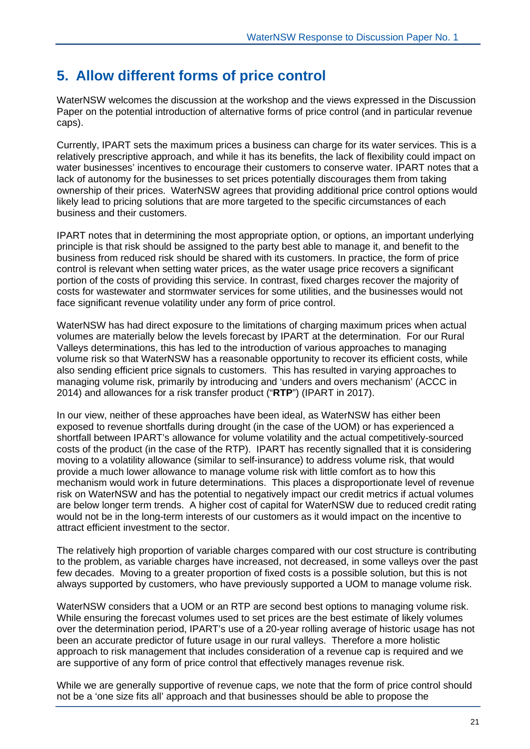### **5. Allow different forms of price control**

WaterNSW welcomes the discussion at the workshop and the views expressed in the Discussion Paper on the potential introduction of alternative forms of price control (and in particular revenue caps).

Currently, IPART sets the maximum prices a business can charge for its water services. This is a relatively prescriptive approach, and while it has its benefits, the lack of flexibility could impact on water businesses' incentives to encourage their customers to conserve water. IPART notes that a lack of autonomy for the businesses to set prices potentially discourages them from taking ownership of their prices. WaterNSW agrees that providing additional price control options would likely lead to pricing solutions that are more targeted to the specific circumstances of each business and their customers.

IPART notes that in determining the most appropriate option, or options, an important underlying principle is that risk should be assigned to the party best able to manage it, and benefit to the business from reduced risk should be shared with its customers. In practice, the form of price control is relevant when setting water prices, as the water usage price recovers a significant portion of the costs of providing this service. In contrast, fixed charges recover the majority of costs for wastewater and stormwater services for some utilities, and the businesses would not face significant revenue volatility under any form of price control.

WaterNSW has had direct exposure to the limitations of charging maximum prices when actual volumes are materially below the levels forecast by IPART at the determination. For our Rural Valleys determinations, this has led to the introduction of various approaches to managing volume risk so that WaterNSW has a reasonable opportunity to recover its efficient costs, while also sending efficient price signals to customers. This has resulted in varying approaches to managing volume risk, primarily by introducing and 'unders and overs mechanism' (ACCC in 2014) and allowances for a risk transfer product ("**RTP**") (IPART in 2017).

In our view, neither of these approaches have been ideal, as WaterNSW has either been exposed to revenue shortfalls during drought (in the case of the UOM) or has experienced a shortfall between IPART's allowance for volume volatility and the actual competitively-sourced costs of the product (in the case of the RTP). IPART has recently signalled that it is considering moving to a volatility allowance (similar to self-insurance) to address volume risk, that would provide a much lower allowance to manage volume risk with little comfort as to how this mechanism would work in future determinations. This places a disproportionate level of revenue risk on WaterNSW and has the potential to negatively impact our credit metrics if actual volumes are below longer term trends. A higher cost of capital for WaterNSW due to reduced credit rating would not be in the long-term interests of our customers as it would impact on the incentive to attract efficient investment to the sector.

The relatively high proportion of variable charges compared with our cost structure is contributing to the problem, as variable charges have increased, not decreased, in some valleys over the past few decades. Moving to a greater proportion of fixed costs is a possible solution, but this is not always supported by customers, who have previously supported a UOM to manage volume risk.

WaterNSW considers that a UOM or an RTP are second best options to managing volume risk. While ensuring the forecast volumes used to set prices are the best estimate of likely volumes over the determination period, IPART's use of a 20-year rolling average of historic usage has not been an accurate predictor of future usage in our rural valleys. Therefore a more holistic approach to risk management that includes consideration of a revenue cap is required and we are supportive of any form of price control that effectively manages revenue risk.

While we are generally supportive of revenue caps, we note that the form of price control should not be a 'one size fits all' approach and that businesses should be able to propose the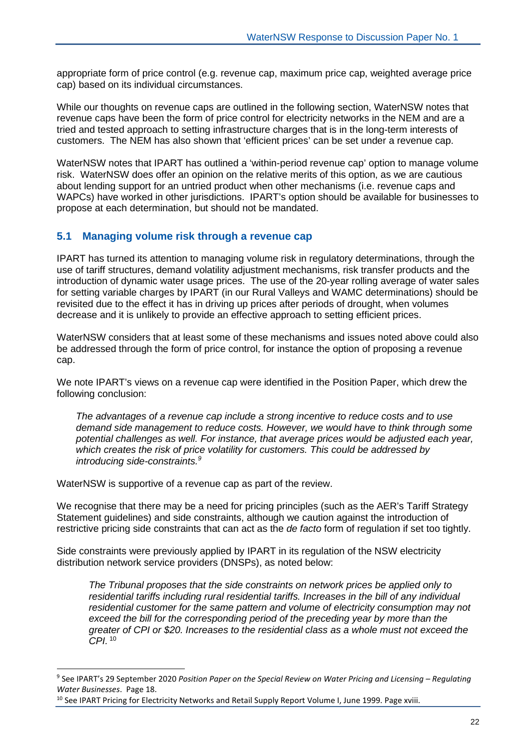appropriate form of price control (e.g. revenue cap, maximum price cap, weighted average price cap) based on its individual circumstances.

While our thoughts on revenue caps are outlined in the following section, WaterNSW notes that revenue caps have been the form of price control for electricity networks in the NEM and are a tried and tested approach to setting infrastructure charges that is in the long-term interests of customers. The NEM has also shown that 'efficient prices' can be set under a revenue cap.

WaterNSW notes that IPART has outlined a 'within-period revenue cap' option to manage volume risk. WaterNSW does offer an opinion on the relative merits of this option, as we are cautious about lending support for an untried product when other mechanisms (i.e. revenue caps and WAPCs) have worked in other jurisdictions. IPART's option should be available for businesses to propose at each determination, but should not be mandated.

#### **5.1 Managing volume risk through a revenue cap**

IPART has turned its attention to managing volume risk in regulatory determinations, through the use of tariff structures, demand volatility adjustment mechanisms, risk transfer products and the introduction of dynamic water usage prices. The use of the 20-year rolling average of water sales for setting variable charges by IPART (in our Rural Valleys and WAMC determinations) should be revisited due to the effect it has in driving up prices after periods of drought, when volumes decrease and it is unlikely to provide an effective approach to setting efficient prices.

WaterNSW considers that at least some of these mechanisms and issues noted above could also be addressed through the form of price control, for instance the option of proposing a revenue cap.

We note IPART's views on a revenue cap were identified in the Position Paper, which drew the following conclusion:

*The advantages of a revenue cap include a strong incentive to reduce costs and to use demand side management to reduce costs. However, we would have to think through some potential challenges as well. For instance, that average prices would be adjusted each year, which creates the risk of price volatility for customers. This could be addressed by introducing side-constraints.<sup>9</sup>*

WaterNSW is supportive of a revenue cap as part of the review.

We recognise that there may be a need for pricing principles (such as the AER's Tariff Strategy Statement guidelines) and side constraints, although we caution against the introduction of restrictive pricing side constraints that can act as the *de facto* form of regulation if set too tightly.

Side constraints were previously applied by IPART in its regulation of the NSW electricity distribution network service providers (DNSPs), as noted below:

*The Tribunal proposes that the side constraints on network prices be applied only to residential tariffs including rural residential tariffs. Increases in the bill of any individual residential customer for the same pattern and volume of electricity consumption may not exceed the bill for the corresponding period of the preceding year by more than the greater of CPI or \$20. Increases to the residential class as a whole must not exceed the CPI.*<sup>10</sup>

<sup>9</sup> See IPART's 29 September 2020 *Position Paper on the Special Review on Water Pricing and Licensing – Regulating Water Businesses*. Page 18.

<sup>&</sup>lt;sup>10</sup> See IPART Pricing for Electricity Networks and Retail Supply Report Volume I, June 1999. Page xviii.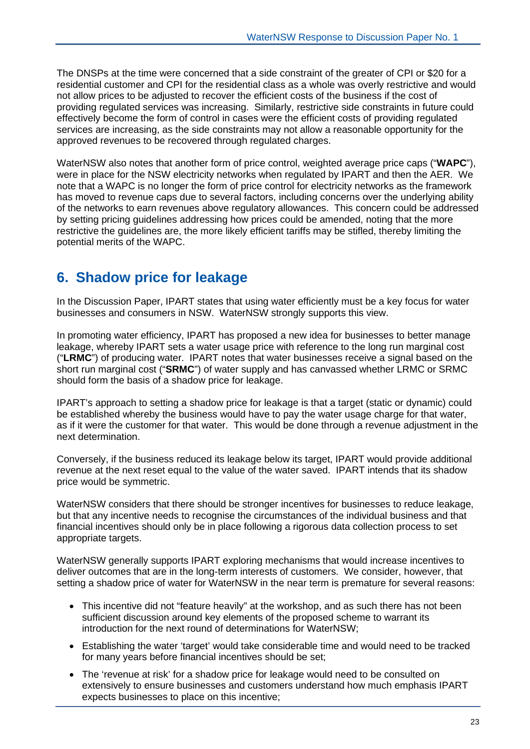The DNSPs at the time were concerned that a side constraint of the greater of CPI or \$20 for a residential customer and CPI for the residential class as a whole was overly restrictive and would not allow prices to be adjusted to recover the efficient costs of the business if the cost of providing regulated services was increasing. Similarly, restrictive side constraints in future could effectively become the form of control in cases were the efficient costs of providing regulated services are increasing, as the side constraints may not allow a reasonable opportunity for the approved revenues to be recovered through regulated charges.

WaterNSW also notes that another form of price control, weighted average price caps ("**WAPC**"), were in place for the NSW electricity networks when regulated by IPART and then the AER. We note that a WAPC is no longer the form of price control for electricity networks as the framework has moved to revenue caps due to several factors, including concerns over the underlying ability of the networks to earn revenues above regulatory allowances. This concern could be addressed by setting pricing guidelines addressing how prices could be amended, noting that the more restrictive the guidelines are, the more likely efficient tariffs may be stifled, thereby limiting the potential merits of the WAPC.

## **6. Shadow price for leakage**

In the Discussion Paper, IPART states that using water efficiently must be a key focus for water businesses and consumers in NSW. WaterNSW strongly supports this view.

In promoting water efficiency, IPART has proposed a new idea for businesses to better manage leakage, whereby IPART sets a water usage price with reference to the long run marginal cost ("**LRMC**") of producing water. IPART notes that water businesses receive a signal based on the short run marginal cost ("**SRMC**") of water supply and has canvassed whether LRMC or SRMC should form the basis of a shadow price for leakage.

IPART's approach to setting a shadow price for leakage is that a target (static or dynamic) could be established whereby the business would have to pay the water usage charge for that water, as if it were the customer for that water. This would be done through a revenue adjustment in the next determination.

Conversely, if the business reduced its leakage below its target, IPART would provide additional revenue at the next reset equal to the value of the water saved. IPART intends that its shadow price would be symmetric.

WaterNSW considers that there should be stronger incentives for businesses to reduce leakage, but that any incentive needs to recognise the circumstances of the individual business and that financial incentives should only be in place following a rigorous data collection process to set appropriate targets.

WaterNSW generally supports IPART exploring mechanisms that would increase incentives to deliver outcomes that are in the long-term interests of customers. We consider, however, that setting a shadow price of water for WaterNSW in the near term is premature for several reasons:

- This incentive did not "feature heavily" at the workshop, and as such there has not been sufficient discussion around key elements of the proposed scheme to warrant its introduction for the next round of determinations for WaterNSW;
- Establishing the water 'target' would take considerable time and would need to be tracked for many years before financial incentives should be set;
- The 'revenue at risk' for a shadow price for leakage would need to be consulted on extensively to ensure businesses and customers understand how much emphasis IPART expects businesses to place on this incentive;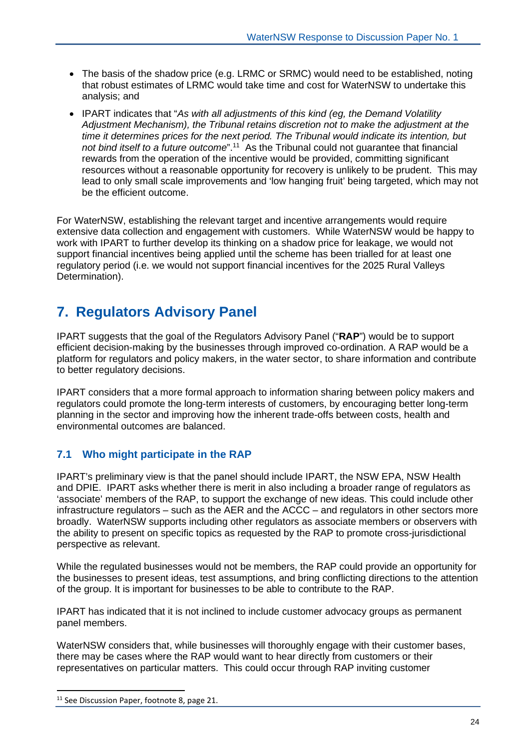- The basis of the shadow price (e.g. LRMC or SRMC) would need to be established, noting that robust estimates of LRMC would take time and cost for WaterNSW to undertake this analysis; and
- IPART indicates that "*As with all adjustments of this kind (eg, the Demand Volatility Adjustment Mechanism), the Tribunal retains discretion not to make the adjustment at the time it determines prices for the next period. The Tribunal would indicate its intention, but*  not bind itself to a future outcome<sup>".11</sup> As the Tribunal could not quarantee that financial rewards from the operation of the incentive would be provided, committing significant resources without a reasonable opportunity for recovery is unlikely to be prudent. This may lead to only small scale improvements and 'low hanging fruit' being targeted, which may not be the efficient outcome.

For WaterNSW, establishing the relevant target and incentive arrangements would require extensive data collection and engagement with customers. While WaterNSW would be happy to work with IPART to further develop its thinking on a shadow price for leakage, we would not support financial incentives being applied until the scheme has been trialled for at least one regulatory period (i.e. we would not support financial incentives for the 2025 Rural Valleys Determination).

## **7. Regulators Advisory Panel**

IPART suggests that the goal of the Regulators Advisory Panel ("**RAP**") would be to support efficient decision-making by the businesses through improved co-ordination. A RAP would be a platform for regulators and policy makers, in the water sector, to share information and contribute to better regulatory decisions.

IPART considers that a more formal approach to information sharing between policy makers and regulators could promote the long-term interests of customers, by encouraging better long-term planning in the sector and improving how the inherent trade-offs between costs, health and environmental outcomes are balanced.

### **7.1 Who might participate in the RAP**

IPART's preliminary view is that the panel should include IPART, the NSW EPA, NSW Health and DPIE. IPART asks whether there is merit in also including a broader range of regulators as 'associate' members of the RAP, to support the exchange of new ideas. This could include other infrastructure regulators – such as the AER and the ACCC – and regulators in other sectors more broadly. WaterNSW supports including other regulators as associate members or observers with the ability to present on specific topics as requested by the RAP to promote cross-jurisdictional perspective as relevant.

While the regulated businesses would not be members, the RAP could provide an opportunity for the businesses to present ideas, test assumptions, and bring conflicting directions to the attention of the group. It is important for businesses to be able to contribute to the RAP.

IPART has indicated that it is not inclined to include customer advocacy groups as permanent panel members.

WaterNSW considers that, while businesses will thoroughly engage with their customer bases, there may be cases where the RAP would want to hear directly from customers or their representatives on particular matters. This could occur through RAP inviting customer

<sup>&</sup>lt;sup>11</sup> See Discussion Paper, footnote 8, page 21.